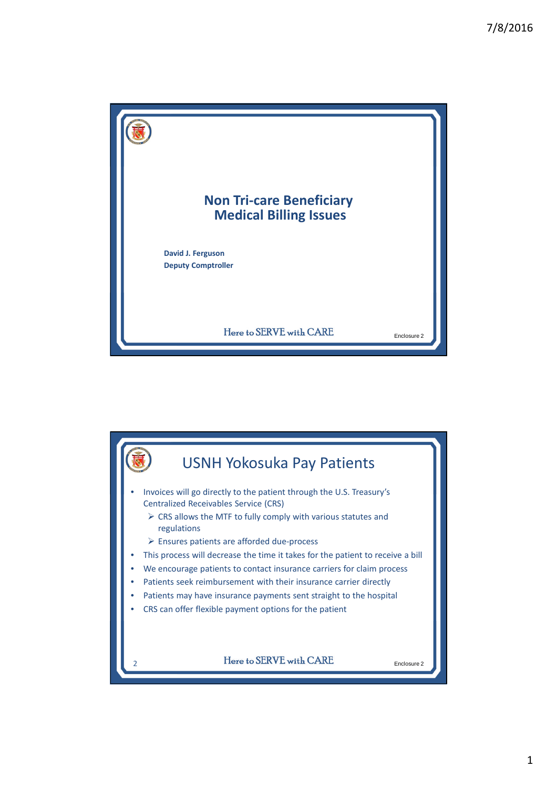

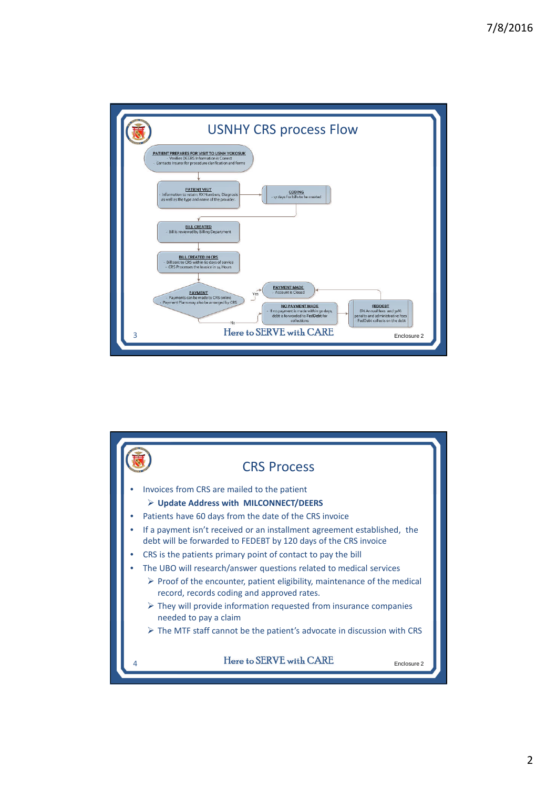

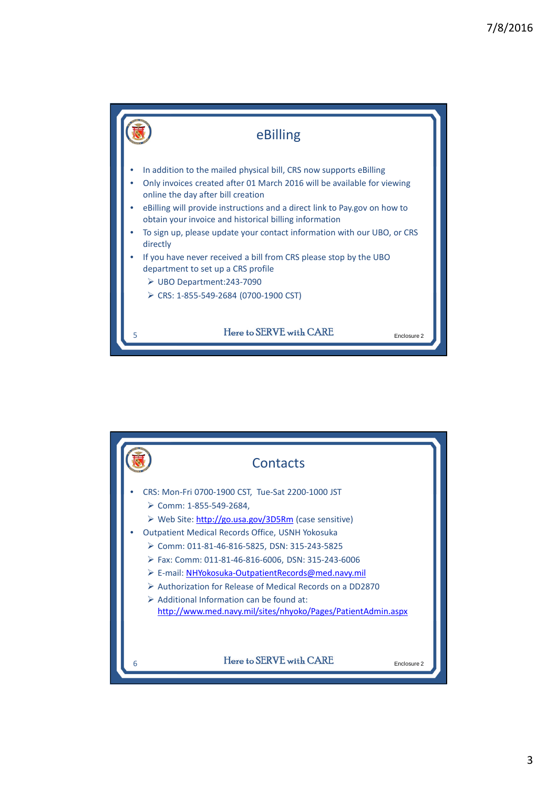